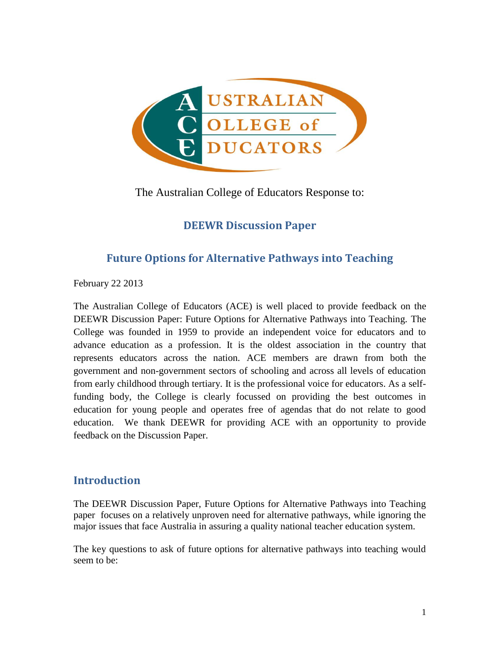

The Australian College of Educators Response to:

# **DEEWR Discussion Paper**

# **Future Options for Alternative Pathways into Teaching**

February 22 2013

The Australian College of Educators (ACE) is well placed to provide feedback on the DEEWR Discussion Paper: Future Options for Alternative Pathways into Teaching. The College was founded in 1959 to provide an independent voice for educators and to advance education as a profession. It is the oldest association in the country that represents educators across the nation. ACE members are drawn from both the government and non-government sectors of schooling and across all levels of education from early childhood through tertiary. It is the professional voice for educators. As a selffunding body, the College is clearly focussed on providing the best outcomes in education for young people and operates free of agendas that do not relate to good education. We thank DEEWR for providing ACE with an opportunity to provide feedback on the Discussion Paper.

# **Introduction**

The DEEWR Discussion Paper, Future Options for Alternative Pathways into Teaching paper focuses on a relatively unproven need for alternative pathways, while ignoring the major issues that face Australia in assuring a quality national teacher education system.

The key questions to ask of future options for alternative pathways into teaching would seem to be: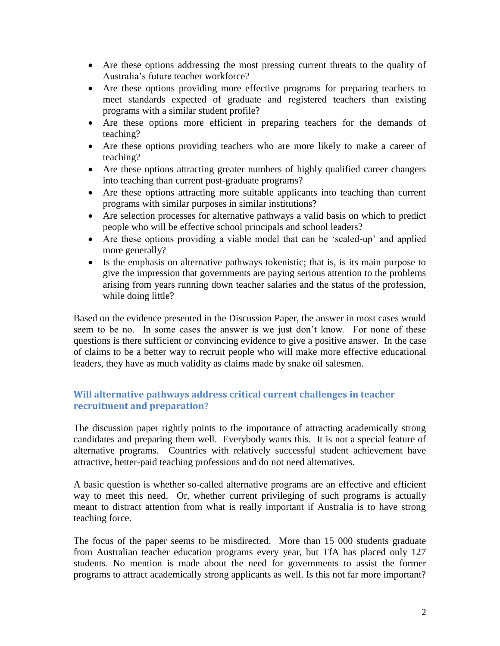- Are these options addressing the most pressing current threats to the quality of Australia's future teacher workforce?
- Are these options providing more effective programs for preparing teachers to meet standards expected of graduate and registered teachers than existing programs with a similar student profile?
- Are these options more efficient in preparing teachers for the demands of teaching?
- Are these options providing teachers who are more likely to make a career of teaching?
- Are these options attracting greater numbers of highly qualified career changers into teaching than current post-graduate programs?
- Are these options attracting more suitable applicants into teaching than current programs with similar purposes in similar institutions?
- Are selection processes for alternative pathways a valid basis on which to predict people who will be effective school principals and school leaders?
- Are these options providing a viable model that can be 'scaled-up' and applied more generally?
- Is the emphasis on alternative pathways tokenistic; that is, is its main purpose to give the impression that governments are paying serious attention to the problems arising from years running down teacher salaries and the status of the profession, while doing little?

Based on the evidence presented in the Discussion Paper, the answer in most cases would seem to be no. In some cases the answer is we just don't know. For none of these questions is there sufficient or convincing evidence to give a positive answer. In the case of claims to be a better way to recruit people who will make more effective educational leaders, they have as much validity as claims made by snake oil salesmen.

# **Will alternative pathways address critical current challenges in teacher recruitment and preparation?**

The discussion paper rightly points to the importance of attracting academically strong candidates and preparing them well. Everybody wants this. It is not a special feature of alternative programs. Countries with relatively successful student achievement have attractive, better-paid teaching professions and do not need alternatives.

A basic question is whether so-called alternative programs are an effective and efficient way to meet this need. Or, whether current privileging of such programs is actually meant to distract attention from what is really important if Australia is to have strong teaching force.

The focus of the paper seems to be misdirected. More than 15 000 students graduate from Australian teacher education programs every year, but TfA has placed only 127 students. No mention is made about the need for governments to assist the former programs to attract academically strong applicants as well. Is this not far more important?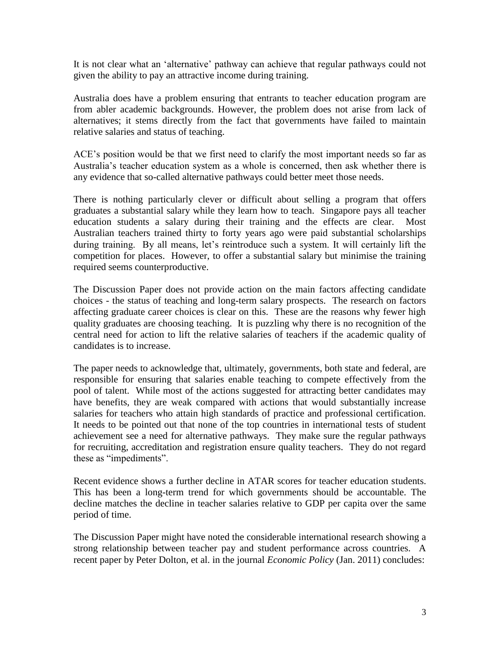It is not clear what an 'alternative' pathway can achieve that regular pathways could not given the ability to pay an attractive income during training.

Australia does have a problem ensuring that entrants to teacher education program are from abler academic backgrounds. However, the problem does not arise from lack of alternatives; it stems directly from the fact that governments have failed to maintain relative salaries and status of teaching.

ACE's position would be that we first need to clarify the most important needs so far as Australia's teacher education system as a whole is concerned, then ask whether there is any evidence that so-called alternative pathways could better meet those needs.

There is nothing particularly clever or difficult about selling a program that offers graduates a substantial salary while they learn how to teach. Singapore pays all teacher education students a salary during their training and the effects are clear. Most Australian teachers trained thirty to forty years ago were paid substantial scholarships during training. By all means, let's reintroduce such a system. It will certainly lift the competition for places. However, to offer a substantial salary but minimise the training required seems counterproductive.

The Discussion Paper does not provide action on the main factors affecting candidate choices - the status of teaching and long-term salary prospects. The research on factors affecting graduate career choices is clear on this. These are the reasons why fewer high quality graduates are choosing teaching. It is puzzling why there is no recognition of the central need for action to lift the relative salaries of teachers if the academic quality of candidates is to increase.

The paper needs to acknowledge that, ultimately, governments, both state and federal, are responsible for ensuring that salaries enable teaching to compete effectively from the pool of talent. While most of the actions suggested for attracting better candidates may have benefits, they are weak compared with actions that would substantially increase salaries for teachers who attain high standards of practice and professional certification. It needs to be pointed out that none of the top countries in international tests of student achievement see a need for alternative pathways. They make sure the regular pathways for recruiting, accreditation and registration ensure quality teachers. They do not regard these as "impediments".

Recent evidence shows a further decline in ATAR scores for teacher education students. This has been a long-term trend for which governments should be accountable. The decline matches the decline in teacher salaries relative to GDP per capita over the same period of time.

The Discussion Paper might have noted the considerable international research showing a strong relationship between teacher pay and student performance across countries. A recent paper by Peter Dolton, et al. in the journal *Economic Policy* (Jan. 2011) concludes: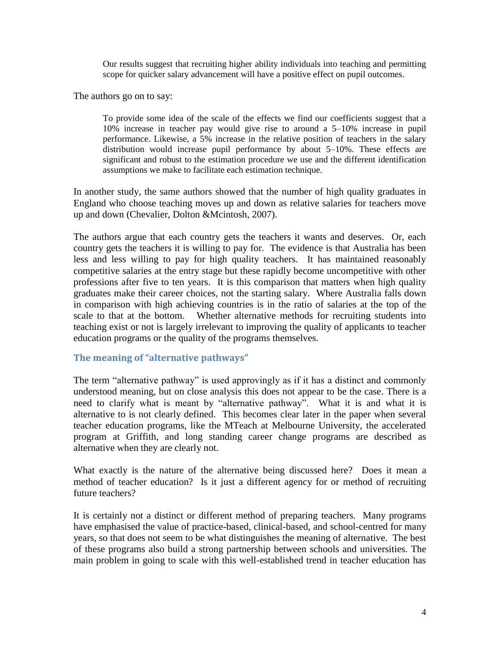Our results suggest that recruiting higher ability individuals into teaching and permitting scope for quicker salary advancement will have a positive effect on pupil outcomes.

The authors go on to say:

To provide some idea of the scale of the effects we find our coefficients suggest that a 10% increase in teacher pay would give rise to around a 5–10% increase in pupil performance. Likewise, a 5% increase in the relative position of teachers in the salary distribution would increase pupil performance by about 5–10%. These effects are significant and robust to the estimation procedure we use and the different identification assumptions we make to facilitate each estimation technique.

In another study, the same authors showed that the number of high quality graduates in England who choose teaching moves up and down as relative salaries for teachers move up and down (Chevalier, Dolton &Mcintosh, 2007).

The authors argue that each country gets the teachers it wants and deserves. Or, each country gets the teachers it is willing to pay for. The evidence is that Australia has been less and less willing to pay for high quality teachers. It has maintained reasonably competitive salaries at the entry stage but these rapidly become uncompetitive with other professions after five to ten years. It is this comparison that matters when high quality graduates make their career choices, not the starting salary. Where Australia falls down in comparison with high achieving countries is in the ratio of salaries at the top of the scale to that at the bottom. Whether alternative methods for recruiting students into teaching exist or not is largely irrelevant to improving the quality of applicants to teacher education programs or the quality of the programs themselves.

# **The meaning of "alternative pathways"**

The term "alternative pathway" is used approvingly as if it has a distinct and commonly understood meaning, but on close analysis this does not appear to be the case. There is a need to clarify what is meant by "alternative pathway". What it is and what it is alternative to is not clearly defined. This becomes clear later in the paper when several teacher education programs, like the MTeach at Melbourne University, the accelerated program at Griffith, and long standing career change programs are described as alternative when they are clearly not.

What exactly is the nature of the alternative being discussed here? Does it mean a method of teacher education? Is it just a different agency for or method of recruiting future teachers?

It is certainly not a distinct or different method of preparing teachers. Many programs have emphasised the value of practice-based, clinical-based, and school-centred for many years, so that does not seem to be what distinguishes the meaning of alternative. The best of these programs also build a strong partnership between schools and universities. The main problem in going to scale with this well-established trend in teacher education has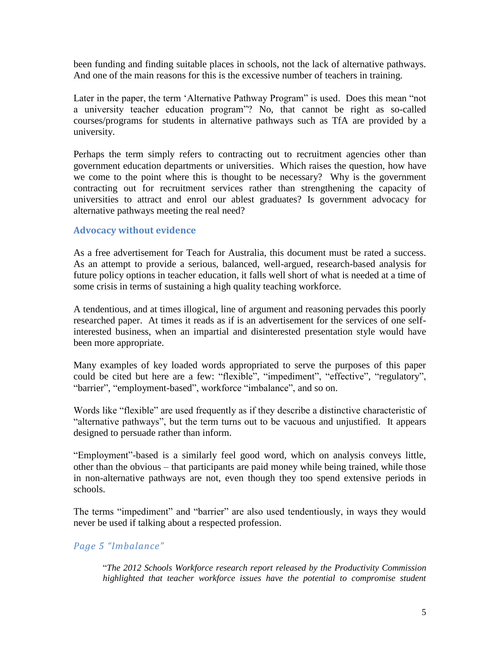been funding and finding suitable places in schools, not the lack of alternative pathways. And one of the main reasons for this is the excessive number of teachers in training.

Later in the paper, the term 'Alternative Pathway Program" is used. Does this mean "not a university teacher education program"? No, that cannot be right as so-called courses/programs for students in alternative pathways such as TfA are provided by a university.

Perhaps the term simply refers to contracting out to recruitment agencies other than government education departments or universities. Which raises the question, how have we come to the point where this is thought to be necessary? Why is the government contracting out for recruitment services rather than strengthening the capacity of universities to attract and enrol our ablest graduates? Is government advocacy for alternative pathways meeting the real need?

### **Advocacy without evidence**

As a free advertisement for Teach for Australia, this document must be rated a success. As an attempt to provide a serious, balanced, well-argued, research-based analysis for future policy options in teacher education, it falls well short of what is needed at a time of some crisis in terms of sustaining a high quality teaching workforce.

A tendentious, and at times illogical, line of argument and reasoning pervades this poorly researched paper. At times it reads as if is an advertisement for the services of one selfinterested business, when an impartial and disinterested presentation style would have been more appropriate.

Many examples of key loaded words appropriated to serve the purposes of this paper could be cited but here are a few: "flexible", "impediment", "effective", "regulatory", "barrier", "employment-based", workforce "imbalance", and so on.

Words like "flexible" are used frequently as if they describe a distinctive characteristic of "alternative pathways", but the term turns out to be vacuous and unjustified. It appears designed to persuade rather than inform.

"Employment"-based is a similarly feel good word, which on analysis conveys little, other than the obvious – that participants are paid money while being trained, while those in non-alternative pathways are not, even though they too spend extensive periods in schools.

The terms "impediment" and "barrier" are also used tendentiously, in ways they would never be used if talking about a respected profession.

# *Page 5 "Imbalance"*

"*The 2012 Schools Workforce research report released by the Productivity Commission highlighted that teacher workforce issues have the potential to compromise student*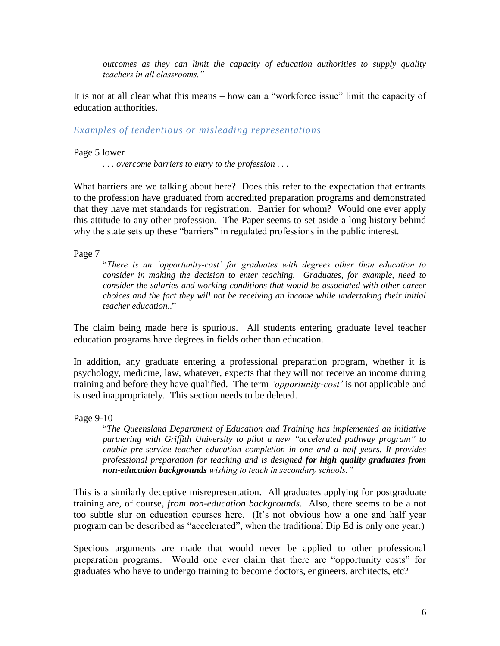*outcomes as they can limit the capacity of education authorities to supply quality teachers in all classrooms."*

It is not at all clear what this means – how can a "workforce issue" limit the capacity of education authorities.

*Examples of tendentious or misleading representations*

Page 5 lower

*. . . overcome barriers to entry to the profession . . .*

What barriers are we talking about here? Does this refer to the expectation that entrants to the profession have graduated from accredited preparation programs and demonstrated that they have met standards for registration. Barrier for whom? Would one ever apply this attitude to any other profession. The Paper seems to set aside a long history behind why the state sets up these "barriers" in regulated professions in the public interest.

Page 7

"*There is an 'opportunity-cost' for graduates with degrees other than education to consider in making the decision to enter teaching. Graduates, for example, need to consider the salaries and working conditions that would be associated with other career choices and the fact they will not be receiving an income while undertaking their initial teacher education*.."

The claim being made here is spurious. All students entering graduate level teacher education programs have degrees in fields other than education.

In addition, any graduate entering a professional preparation program, whether it is psychology, medicine, law, whatever, expects that they will not receive an income during training and before they have qualified. The term *'opportunity-cost'* is not applicable and is used inappropriately. This section needs to be deleted.

Page 9-10

"*The Queensland Department of Education and Training has implemented an initiative partnering with Griffith University to pilot a new "accelerated pathway program" to enable pre-service teacher education completion in one and a half years. It provides professional preparation for teaching and is designed for high quality graduates from non-education backgrounds wishing to teach in secondary schools."*

This is a similarly deceptive misrepresentation. All graduates applying for postgraduate training are, of course, *from non-education backgrounds.* Also, there seems to be a not too subtle slur on education courses here. (It's not obvious how a one and half year program can be described as "accelerated", when the traditional Dip Ed is only one year.)

Specious arguments are made that would never be applied to other professional preparation programs. Would one ever claim that there are "opportunity costs" for graduates who have to undergo training to become doctors, engineers, architects, etc?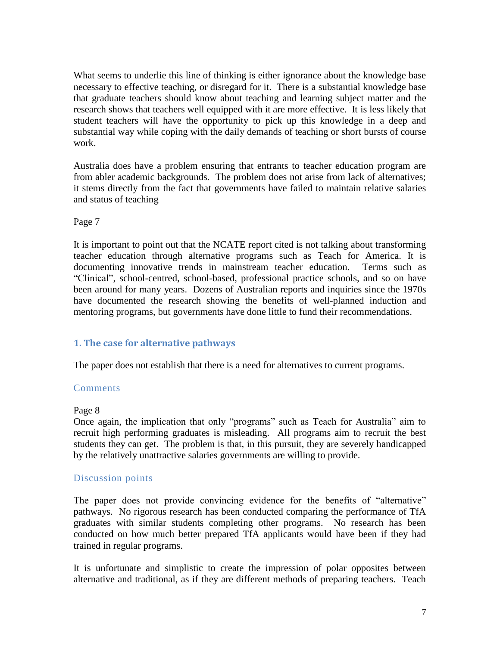What seems to underlie this line of thinking is either ignorance about the knowledge base necessary to effective teaching, or disregard for it. There is a substantial knowledge base that graduate teachers should know about teaching and learning subject matter and the research shows that teachers well equipped with it are more effective. It is less likely that student teachers will have the opportunity to pick up this knowledge in a deep and substantial way while coping with the daily demands of teaching or short bursts of course work.

Australia does have a problem ensuring that entrants to teacher education program are from abler academic backgrounds. The problem does not arise from lack of alternatives; it stems directly from the fact that governments have failed to maintain relative salaries and status of teaching

Page 7

It is important to point out that the NCATE report cited is not talking about transforming teacher education through alternative programs such as Teach for America. It is documenting innovative trends in mainstream teacher education. Terms such as "Clinical", school-centred, school-based, professional practice schools, and so on have been around for many years. Dozens of Australian reports and inquiries since the 1970s have documented the research showing the benefits of well-planned induction and mentoring programs, but governments have done little to fund their recommendations.

# **1. The case for alternative pathways**

The paper does not establish that there is a need for alternatives to current programs.

# **Comments**

#### Page 8

Once again, the implication that only "programs" such as Teach for Australia" aim to recruit high performing graduates is misleading. All programs aim to recruit the best students they can get. The problem is that, in this pursuit, they are severely handicapped by the relatively unattractive salaries governments are willing to provide.

# Discussion points

The paper does not provide convincing evidence for the benefits of "alternative" pathways. No rigorous research has been conducted comparing the performance of TfA graduates with similar students completing other programs. No research has been conducted on how much better prepared TfA applicants would have been if they had trained in regular programs.

It is unfortunate and simplistic to create the impression of polar opposites between alternative and traditional, as if they are different methods of preparing teachers. Teach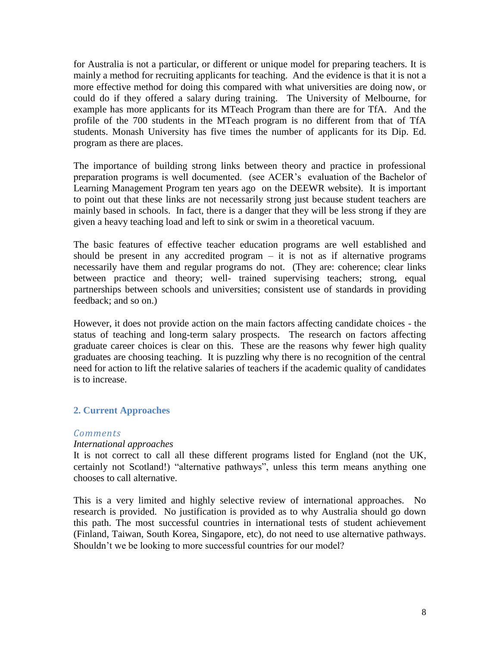for Australia is not a particular, or different or unique model for preparing teachers. It is mainly a method for recruiting applicants for teaching. And the evidence is that it is not a more effective method for doing this compared with what universities are doing now, or could do if they offered a salary during training. The University of Melbourne, for example has more applicants for its MTeach Program than there are for TfA. And the profile of the 700 students in the MTeach program is no different from that of TfA students. Monash University has five times the number of applicants for its Dip. Ed. program as there are places.

The importance of building strong links between theory and practice in professional preparation programs is well documented. (see ACER's evaluation of the Bachelor of Learning Management Program ten years ago on the DEEWR website). It is important to point out that these links are not necessarily strong just because student teachers are mainly based in schools. In fact, there is a danger that they will be less strong if they are given a heavy teaching load and left to sink or swim in a theoretical vacuum.

The basic features of effective teacher education programs are well established and should be present in any accredited program  $-$  it is not as if alternative programs necessarily have them and regular programs do not. (They are: coherence; clear links between practice and theory; well- trained supervising teachers; strong, equal partnerships between schools and universities; consistent use of standards in providing feedback; and so on.)

However, it does not provide action on the main factors affecting candidate choices - the status of teaching and long-term salary prospects. The research on factors affecting graduate career choices is clear on this. These are the reasons why fewer high quality graduates are choosing teaching. It is puzzling why there is no recognition of the central need for action to lift the relative salaries of teachers if the academic quality of candidates is to increase.

# **2. Current Approaches**

# *Comments*

#### *International approaches*

It is not correct to call all these different programs listed for England (not the UK, certainly not Scotland!) "alternative pathways", unless this term means anything one chooses to call alternative.

This is a very limited and highly selective review of international approaches. No research is provided. No justification is provided as to why Australia should go down this path. The most successful countries in international tests of student achievement (Finland, Taiwan, South Korea, Singapore, etc), do not need to use alternative pathways. Shouldn't we be looking to more successful countries for our model?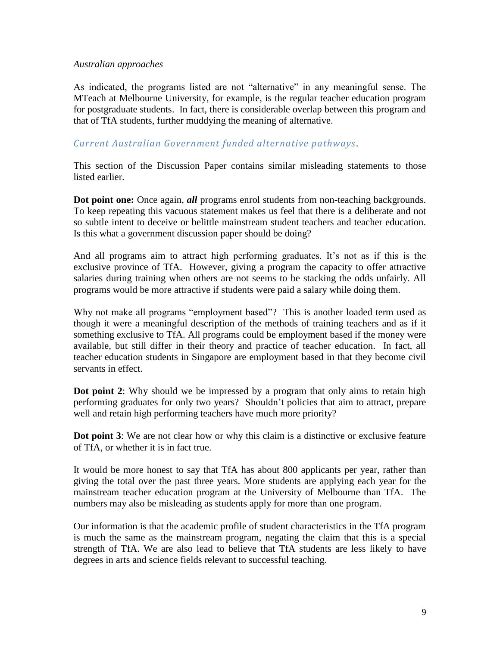#### *Australian approaches*

As indicated, the programs listed are not "alternative" in any meaningful sense. The MTeach at Melbourne University, for example, is the regular teacher education program for postgraduate students. In fact, there is considerable overlap between this program and that of TfA students, further muddying the meaning of alternative.

# *Current Australian Government funded alternative pathways.*

This section of the Discussion Paper contains similar misleading statements to those listed earlier.

**Dot point one:** Once again, *all* programs enrol students from non-teaching backgrounds. To keep repeating this vacuous statement makes us feel that there is a deliberate and not so subtle intent to deceive or belittle mainstream student teachers and teacher education. Is this what a government discussion paper should be doing?

And all programs aim to attract high performing graduates. It's not as if this is the exclusive province of TfA. However, giving a program the capacity to offer attractive salaries during training when others are not seems to be stacking the odds unfairly. All programs would be more attractive if students were paid a salary while doing them.

Why not make all programs "employment based"? This is another loaded term used as though it were a meaningful description of the methods of training teachers and as if it something exclusive to TfA. All programs could be employment based if the money were available, but still differ in their theory and practice of teacher education. In fact, all teacher education students in Singapore are employment based in that they become civil servants in effect.

**Dot point 2**: Why should we be impressed by a program that only aims to retain high performing graduates for only two years? Shouldn't policies that aim to attract, prepare well and retain high performing teachers have much more priority?

**Dot point 3**: We are not clear how or why this claim is a distinctive or exclusive feature of TfA, or whether it is in fact true.

It would be more honest to say that TfA has about 800 applicants per year, rather than giving the total over the past three years. More students are applying each year for the mainstream teacher education program at the University of Melbourne than TfA. The numbers may also be misleading as students apply for more than one program.

Our information is that the academic profile of student characteristics in the TfA program is much the same as the mainstream program, negating the claim that this is a special strength of TfA. We are also lead to believe that TfA students are less likely to have degrees in arts and science fields relevant to successful teaching.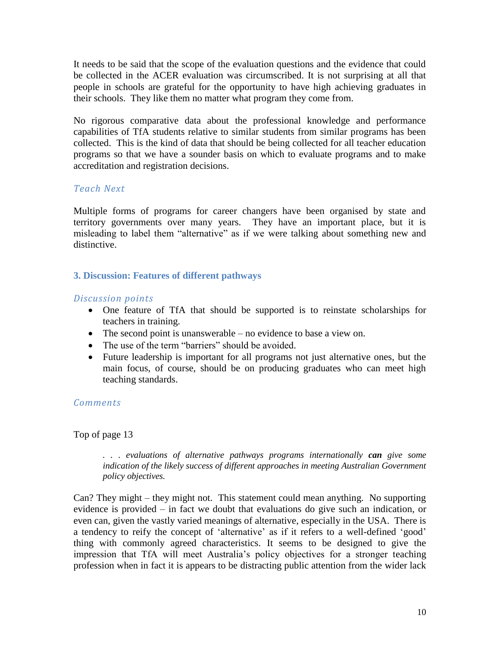It needs to be said that the scope of the evaluation questions and the evidence that could be collected in the ACER evaluation was circumscribed. It is not surprising at all that people in schools are grateful for the opportunity to have high achieving graduates in their schools. They like them no matter what program they come from.

No rigorous comparative data about the professional knowledge and performance capabilities of TfA students relative to similar students from similar programs has been collected. This is the kind of data that should be being collected for all teacher education programs so that we have a sounder basis on which to evaluate programs and to make accreditation and registration decisions.

# *Teach Next*

Multiple forms of programs for career changers have been organised by state and territory governments over many years. They have an important place, but it is misleading to label them "alternative" as if we were talking about something new and distinctive.

# **3. Discussion: Features of different pathways**

# *Discussion points*

- One feature of TfA that should be supported is to reinstate scholarships for teachers in training.
- The second point is unanswerable no evidence to base a view on.
- The use of the term "barriers" should be avoided.
- Future leadership is important for all programs not just alternative ones, but the main focus, of course, should be on producing graduates who can meet high teaching standards.

# *Comments*

Top of page 13

*. . . evaluations of alternative pathways programs internationally can give some indication of the likely success of different approaches in meeting Australian Government policy objectives.* 

Can? They might – they might not. This statement could mean anything. No supporting evidence is provided – in fact we doubt that evaluations do give such an indication, or even can, given the vastly varied meanings of alternative, especially in the USA. There is a tendency to reify the concept of 'alternative' as if it refers to a well-defined 'good' thing with commonly agreed characteristics. It seems to be designed to give the impression that TfA will meet Australia's policy objectives for a stronger teaching profession when in fact it is appears to be distracting public attention from the wider lack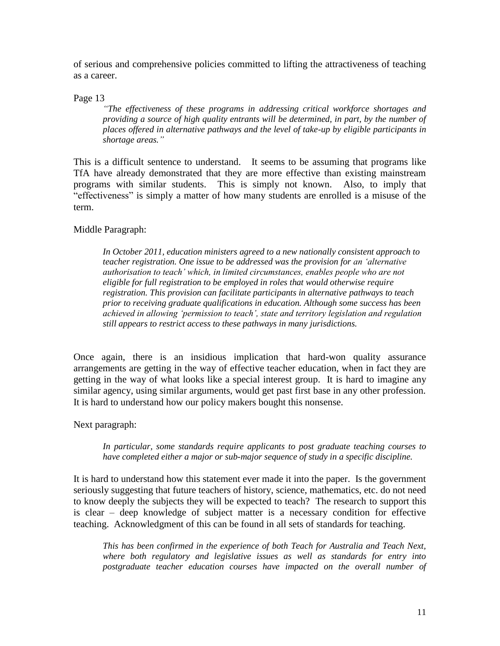of serious and comprehensive policies committed to lifting the attractiveness of teaching as a career.

Page 13

*"The effectiveness of these programs in addressing critical workforce shortages and providing a source of high quality entrants will be determined, in part, by the number of places offered in alternative pathways and the level of take-up by eligible participants in shortage areas."*

This is a difficult sentence to understand. It seems to be assuming that programs like TfA have already demonstrated that they are more effective than existing mainstream programs with similar students. This is simply not known. Also, to imply that "effectiveness" is simply a matter of how many students are enrolled is a misuse of the term.

### Middle Paragraph:

*In October 2011, education ministers agreed to a new nationally consistent approach to teacher registration. One issue to be addressed was the provision for an 'alternative authorisation to teach' which, in limited circumstances, enables people who are not eligible for full registration to be employed in roles that would otherwise require registration. This provision can facilitate participants in alternative pathways to teach prior to receiving graduate qualifications in education. Although some success has been achieved in allowing 'permission to teach', state and territory legislation and regulation still appears to restrict access to these pathways in many jurisdictions.*

Once again, there is an insidious implication that hard-won quality assurance arrangements are getting in the way of effective teacher education, when in fact they are getting in the way of what looks like a special interest group. It is hard to imagine any similar agency, using similar arguments, would get past first base in any other profession. It is hard to understand how our policy makers bought this nonsense.

Next paragraph:

*In particular, some standards require applicants to post graduate teaching courses to have completed either a major or sub-major sequence of study in a specific discipline.*

It is hard to understand how this statement ever made it into the paper. Is the government seriously suggesting that future teachers of history, science, mathematics, etc. do not need to know deeply the subjects they will be expected to teach? The research to support this is clear – deep knowledge of subject matter is a necessary condition for effective teaching. Acknowledgment of this can be found in all sets of standards for teaching.

*This has been confirmed in the experience of both Teach for Australia and Teach Next, where both regulatory and legislative issues as well as standards for entry into postgraduate teacher education courses have impacted on the overall number of*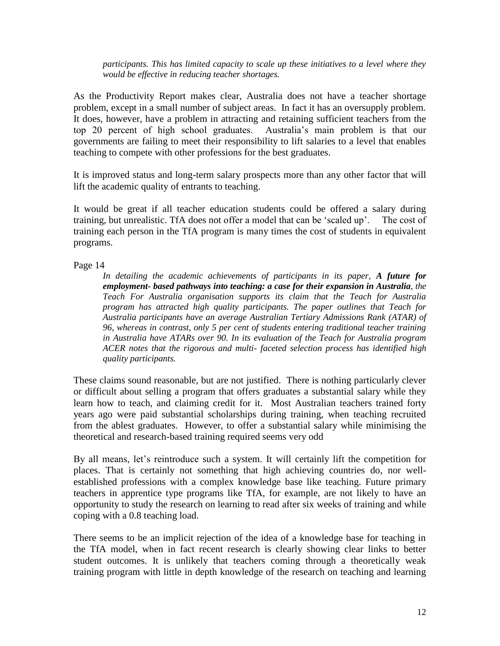*participants. This has limited capacity to scale up these initiatives to a level where they would be effective in reducing teacher shortages.*

As the Productivity Report makes clear, Australia does not have a teacher shortage problem, except in a small number of subject areas. In fact it has an oversupply problem. It does, however, have a problem in attracting and retaining sufficient teachers from the top 20 percent of high school graduates. Australia's main problem is that our governments are failing to meet their responsibility to lift salaries to a level that enables teaching to compete with other professions for the best graduates.

It is improved status and long-term salary prospects more than any other factor that will lift the academic quality of entrants to teaching.

It would be great if all teacher education students could be offered a salary during training, but unrealistic. TfA does not offer a model that can be 'scaled up'. The cost of training each person in the TfA program is many times the cost of students in equivalent programs.

Page 14

*In detailing the academic achievements of participants in its paper, A future for employment- based pathways into teaching: a case for their expansion in Australia, the Teach For Australia organisation supports its claim that the Teach for Australia program has attracted high quality participants. The paper outlines that Teach for Australia participants have an average Australian Tertiary Admissions Rank (ATAR) of 96, whereas in contrast, only 5 per cent of students entering traditional teacher training in Australia have ATARs over 90. In its evaluation of the Teach for Australia program ACER notes that the rigorous and multi- faceted selection process has identified high quality participants.*

These claims sound reasonable, but are not justified. There is nothing particularly clever or difficult about selling a program that offers graduates a substantial salary while they learn how to teach, and claiming credit for it. Most Australian teachers trained forty years ago were paid substantial scholarships during training, when teaching recruited from the ablest graduates. However, to offer a substantial salary while minimising the theoretical and research-based training required seems very odd

By all means, let's reintroduce such a system. It will certainly lift the competition for places. That is certainly not something that high achieving countries do, nor wellestablished professions with a complex knowledge base like teaching. Future primary teachers in apprentice type programs like TfA, for example, are not likely to have an opportunity to study the research on learning to read after six weeks of training and while coping with a 0.8 teaching load.

There seems to be an implicit rejection of the idea of a knowledge base for teaching in the TfA model, when in fact recent research is clearly showing clear links to better student outcomes. It is unlikely that teachers coming through a theoretically weak training program with little in depth knowledge of the research on teaching and learning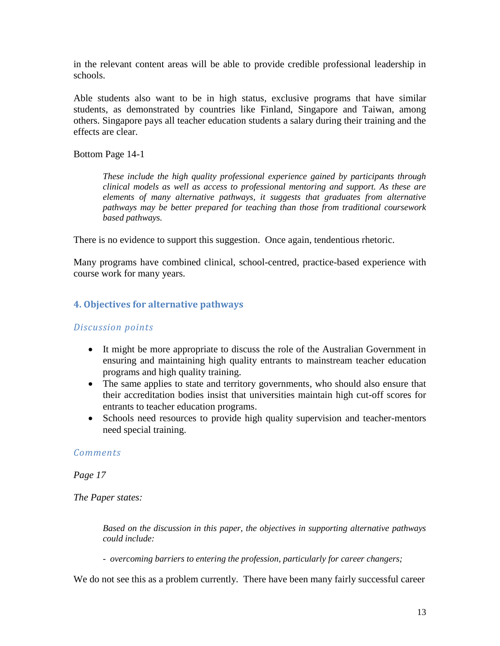in the relevant content areas will be able to provide credible professional leadership in schools.

Able students also want to be in high status, exclusive programs that have similar students, as demonstrated by countries like Finland, Singapore and Taiwan, among others. Singapore pays all teacher education students a salary during their training and the effects are clear.

Bottom Page 14-1

*These include the high quality professional experience gained by participants through clinical models as well as access to professional mentoring and support. As these are elements of many alternative pathways, it suggests that graduates from alternative pathways may be better prepared for teaching than those from traditional coursework based pathways.*

There is no evidence to support this suggestion. Once again, tendentious rhetoric.

Many programs have combined clinical, school-centred, practice-based experience with course work for many years.

### **4. Objectives for alternative pathways**

#### *Discussion points*

- It might be more appropriate to discuss the role of the Australian Government in ensuring and maintaining high quality entrants to mainstream teacher education programs and high quality training.
- The same applies to state and territory governments, who should also ensure that their accreditation bodies insist that universities maintain high cut-off scores for entrants to teacher education programs.
- Schools need resources to provide high quality supervision and teacher-mentors need special training.

#### *Comments*

*Page 17* 

*The Paper states:* 

*Based on the discussion in this paper, the objectives in supporting alternative pathways could include:*

- *overcoming barriers to entering the profession, particularly for career changers;* 

We do not see this as a problem currently. There have been many fairly successful career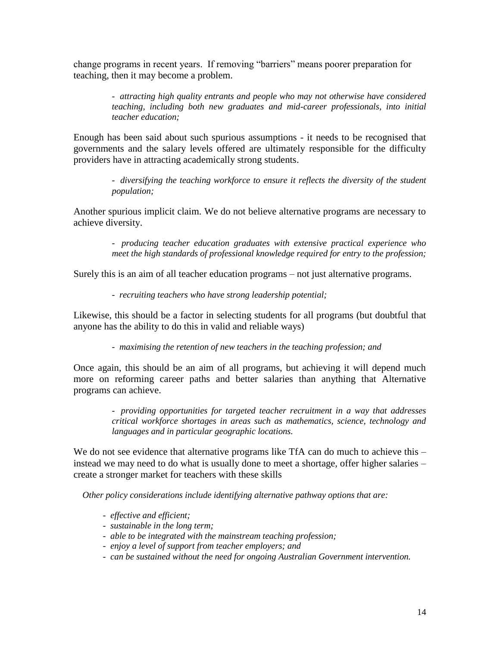change programs in recent years. If removing "barriers" means poorer preparation for teaching, then it may become a problem.

> *- attracting high quality entrants and people who may not otherwise have considered teaching, including both new graduates and mid-career professionals, into initial teacher education;*

Enough has been said about such spurious assumptions - it needs to be recognised that governments and the salary levels offered are ultimately responsible for the difficulty providers have in attracting academically strong students.

> *- diversifying the teaching workforce to ensure it reflects the diversity of the student population;*

Another spurious implicit claim. We do not believe alternative programs are necessary to achieve diversity.

> *- producing teacher education graduates with extensive practical experience who meet the high standards of professional knowledge required for entry to the profession;*

Surely this is an aim of all teacher education programs – not just alternative programs.

*- recruiting teachers who have strong leadership potential;* 

Likewise, this should be a factor in selecting students for all programs (but doubtful that anyone has the ability to do this in valid and reliable ways)

*- maximising the retention of new teachers in the teaching profession; and* 

Once again, this should be an aim of all programs, but achieving it will depend much more on reforming career paths and better salaries than anything that Alternative programs can achieve.

> *- providing opportunities for targeted teacher recruitment in a way that addresses critical workforce shortages in areas such as mathematics, science, technology and languages and in particular geographic locations.*

We do not see evidence that alternative programs like TfA can do much to achieve this – instead we may need to do what is usually done to meet a shortage, offer higher salaries – create a stronger market for teachers with these skills

*Other policy considerations include identifying alternative pathway options that are:* 

- *- effective and efficient;*
- *- sustainable in the long term;*
- *- able to be integrated with the mainstream teaching profession;*
- *- enjoy a level of support from teacher employers; and*
- *- can be sustained without the need for ongoing Australian Government intervention.*